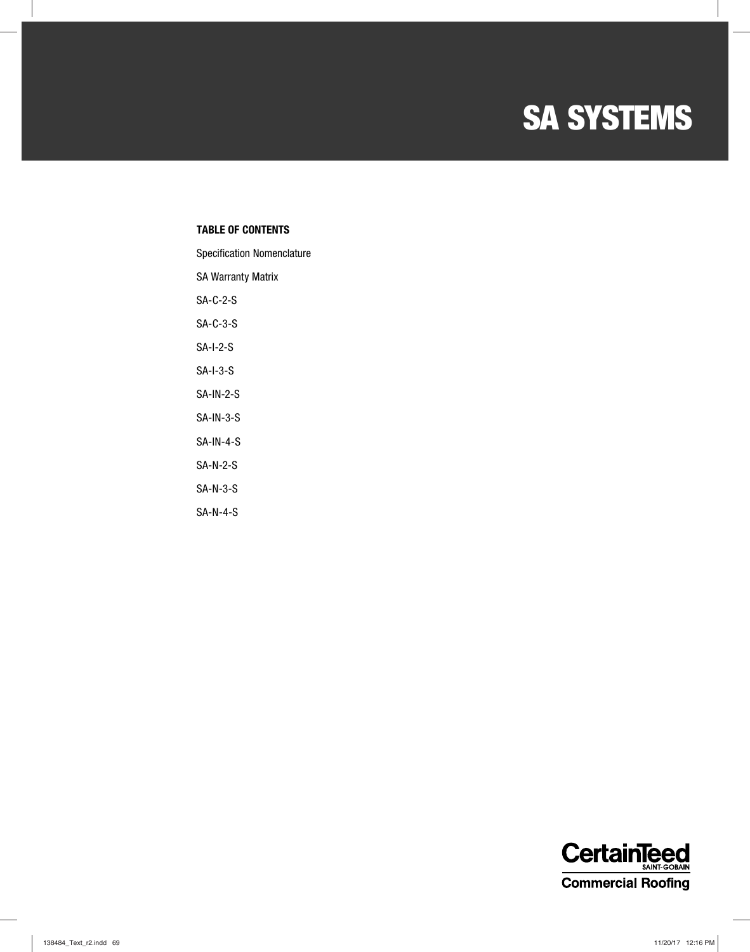### **NAME SA SYSTEMS**

#### **TABLE OF CONTENTS**

Specification Nomenclature

|  | <b>SA Warranty Matrix</b> |  |
|--|---------------------------|--|
|--|---------------------------|--|

SA-C-2-S

SA-C-3-S

SA-I-2-S

SA-I-3-S

SA-IN-2-S

SA-IN-3-S

SA-IN-4-S

SA-N-2-S

SA-N-3-S

SA-N-4-S

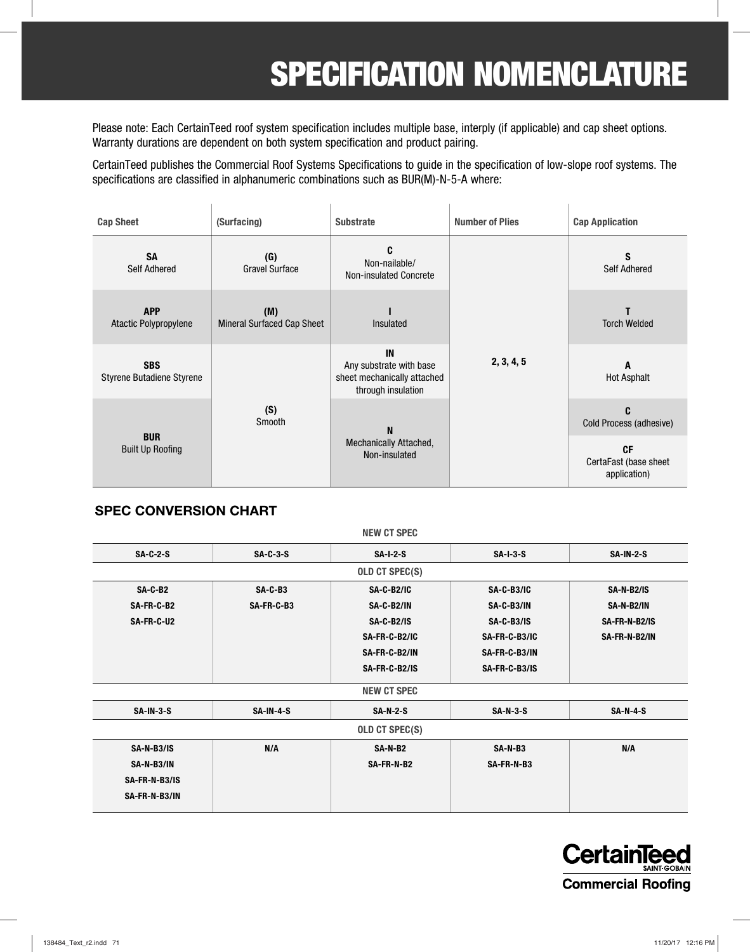## **SPECIFICATION NOMENCLATURE**

Please note: Each CertainTeed roof system specification includes multiple base, interply (if applicable) and cap sheet options. Warranty durations are dependent on both system specification and product pairing.

CertainTeed publishes the Commercial Roof Systems Specifications to guide in the specification of low-slope roof systems. The specifications are classified in alphanumeric combinations such as BUR(M)-N-5-A where:

| <b>Cap Sheet</b>                        | (Surfacing)                              | <b>Number of Plies</b><br><b>Substrate</b>                                         |            | <b>Cap Application</b>                             |  |
|-----------------------------------------|------------------------------------------|------------------------------------------------------------------------------------|------------|----------------------------------------------------|--|
| <b>SA</b><br><b>Self Adhered</b>        | (G)<br><b>Gravel Surface</b>             | C<br>Non-nailable/<br><b>Non-insulated Concrete</b>                                |            | S<br><b>Self Adhered</b>                           |  |
| <b>APP</b><br>Atactic Polypropylene     | (M)<br><b>Mineral Surfaced Cap Sheet</b> | Insulated                                                                          |            | <b>Torch Welded</b>                                |  |
| <b>SBS</b><br>Styrene Butadiene Styrene |                                          | IN<br>Any substrate with base<br>sheet mechanically attached<br>through insulation | 2, 3, 4, 5 | A<br><b>Hot Asphalt</b>                            |  |
| <b>BUR</b><br><b>Built Up Roofing</b>   | (S)<br>Smooth                            | N<br>Mechanically Attached,<br>Non-insulated                                       |            | C.<br>Cold Process (adhesive)                      |  |
|                                         |                                          |                                                                                    |            | <b>CF</b><br>CertaFast (base sheet<br>application) |  |

#### **SPEC CONVERSION CHART**

|               |             | NEW CT SPEC        |               |                  |
|---------------|-------------|--------------------|---------------|------------------|
| $SA-C-2-S$    | $SA-C-3-S$  | $SA-I-2-S$         | $SA-I-3-S$    | <b>SA-IN-2-S</b> |
|               |             | OLD CT SPEC(S)     |               |                  |
| SA-C-B2       | $SA-C-B3$   | <b>SA-C-B2/IC</b>  | SA-C-B3/IC    | SA-N-B2/IS       |
| SA-FR-C-B2    | SA-FR-C-B3  | SA-C-B2/IN         | SA-C-B3/IN    | SA-N-B2/IN       |
| SA-FR-C-U2    |             | SA-C-B2/IS         | SA-C-B3/IS    | SA-FR-N-B2/IS    |
|               |             | SA-FR-C-B2/IC      | SA-FR-C-B3/IC | SA-FR-N-B2/IN    |
|               |             | SA-FR-C-B2/IN      | SA-FR-C-B3/IN |                  |
|               |             | SA-FR-C-B2/IS      | SA-FR-C-B3/IS |                  |
|               |             | <b>NEW CT SPEC</b> |               |                  |
| $SA-IN-3-S$   | $SA-IN-4-S$ | <b>SA-N-2-S</b>    | $SA-N-3-S$    | $SA-N-4-S$       |
|               |             | OLD CT SPEC(S)     |               |                  |
| SA-N-B3/IS    | N/A         | SA-N-B2            | SA-N-B3       | N/A              |
| SA-N-B3/IN    |             | SA-FR-N-B2         | SA-FR-N-B3    |                  |
| SA-FR-N-B3/IS |             |                    |               |                  |
| SA-FR-N-B3/IN |             |                    |               |                  |
|               |             |                    |               |                  |

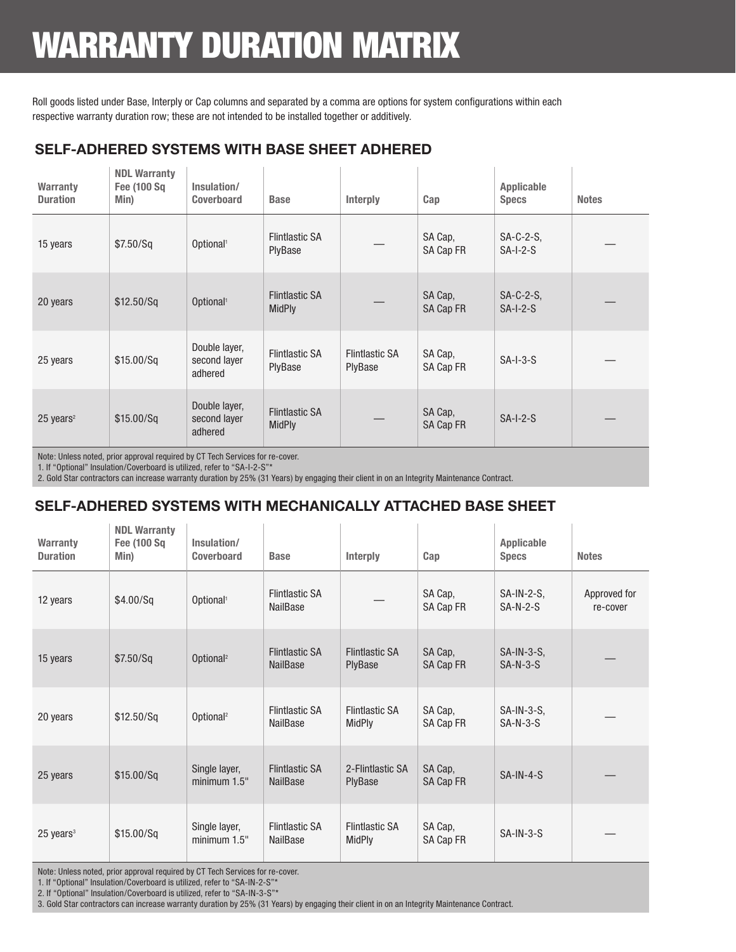# WARRANTY DURATION MATRIX

Roll goods listed under Base, Interply or Cap columns and separated by a comma are options for system configurations within each respective warranty duration row; these are not intended to be installed together or additively.

### **SELF-ADHERED SYSTEMS WITH BASE SHEET ADHERED**

| <b>Warranty</b><br><b>Duration</b> | <b>NDL Warranty</b><br>Fee (100 Sq<br>Min) | Insulation/<br><b>Coverboard</b>         | <b>Base</b>                            | Interply                         | Cap                  | Applicable<br><b>Specs</b> | <b>Notes</b> |
|------------------------------------|--------------------------------------------|------------------------------------------|----------------------------------------|----------------------------------|----------------------|----------------------------|--------------|
| 15 years                           | \$7.50/Sq                                  | Optional <sup>1</sup>                    | <b>Flintlastic SA</b><br>PlyBase       |                                  | SA Cap,<br>SA Cap FR | $SA-C-2-S$<br>$SA-I-2-S$   |              |
| 20 years                           | \$12.50/Sq                                 | Optional <sup>1</sup>                    | <b>Flintlastic SA</b><br><b>MidPly</b> |                                  | SA Cap,<br>SA Cap FR | $SA-C-2-S$<br>$SA-I-2-S$   |              |
| 25 years                           | \$15.00/Sq                                 | Double layer,<br>second layer<br>adhered | <b>Flintlastic SA</b><br>PlyBase       | <b>Flintlastic SA</b><br>PlyBase | SA Cap,<br>SA Cap FR | $SA-I-3-S$                 |              |
| $25$ years <sup>2</sup>            | \$15.00/Sq                                 | Double layer,<br>second layer<br>adhered | <b>Flintlastic SA</b><br><b>MidPly</b> |                                  | SA Cap,<br>SA Cap FR | $SA-I-2-S$                 |              |

Note: Unless noted, prior approval required by CT Tech Services for re-cover.

1. If "Optional" Insulation/Coverboard is utilized, refer to "SA-I-2-S"\*

2. Gold Star contractors can increase warranty duration by 25% (31 Years) by engaging their client in on an Integrity Maintenance Contract.

#### **SELF-ADHERED SYSTEMS WITH MECHANICALLY ATTACHED BASE SHEET**

| <b>Warranty</b><br><b>Duration</b> | <b>NDL Warranty</b><br><b>Fee (100 Sq</b><br>Min) | Insulation/<br><b>Coverboard</b> | <b>Base</b>                              | <b>Interply</b>                        | Cap                  | Applicable<br><b>Specs</b>  | <b>Notes</b>             |
|------------------------------------|---------------------------------------------------|----------------------------------|------------------------------------------|----------------------------------------|----------------------|-----------------------------|--------------------------|
| 12 years                           | \$4.00/Sq                                         | Optional <sup>1</sup>            | <b>Flintlastic SA</b><br>NailBase        |                                        | SA Cap,<br>SA Cap FR | $SA-IN-2-S$ ,<br>$SA-N-2-S$ | Approved for<br>re-cover |
| 15 years                           | \$7.50/Sq                                         | Optional <sup>2</sup>            | <b>Flintlastic SA</b><br><b>NailBase</b> | <b>Flintlastic SA</b><br>PlyBase       | SA Cap,<br>SA Cap FR | $SA-IN-3-S,$<br>$SA-N-3-S$  |                          |
| 20 years                           | \$12.50/Sq                                        | Optional <sup>2</sup>            | <b>Flintlastic SA</b><br>NailBase        | <b>Flintlastic SA</b><br><b>MidPly</b> | SA Cap,<br>SA Cap FR | $SA-IN-3-S,$<br>$SA-N-3-S$  |                          |
| 25 years                           | \$15.00/Sq                                        | Single layer,<br>minimum $1.5"$  | <b>Flintlastic SA</b><br>NailBase        | 2-Flintlastic SA<br>PlyBase            | SA Cap,<br>SA Cap FR | $SA-IN-4-S$                 |                          |
| $25$ years <sup>3</sup>            | \$15.00/Sq                                        | Single layer,<br>minimum $1.5"$  | <b>Flintlastic SA</b><br><b>NailBase</b> | <b>Flintlastic SA</b><br><b>MidPly</b> | SA Cap,<br>SA Cap FR | $SA-IN-3-S$                 |                          |

Note: Unless noted, prior approval required by CT Tech Services for re-cover.

1. If "Optional" Insulation/Coverboard is utilized, refer to "SA-IN-2-S"\*

2. If "Optional" Insulation/Coverboard is utilized, refer to "SA-IN-3-S"\*

3. Gold Star contractors can increase warranty duration by 25% (31 Years) by engaging their client in on an Integrity Maintenance Contract.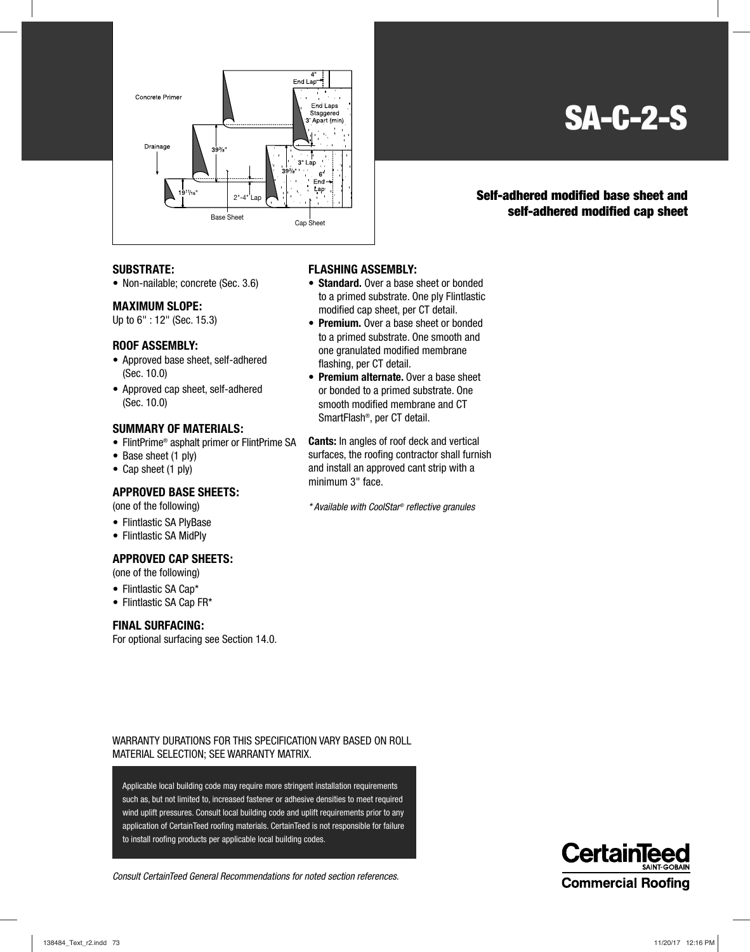

### **SA-C-2-S**

#### **Self-adhered modified base sheet and self-adhered modified cap sheet**

#### **SUBSTRATE:**

• Non-nailable; concrete (Sec. 3.6)

#### **MAXIMUM SLOPE:**

Up to 6" : 12" (Sec. 15.3)

#### **ROOF ASSEMBLY:**

- Approved base sheet, self-adhered (Sec. 10.0)
- Approved cap sheet, self-adhered (Sec. 10.0)

#### **SUMMARY OF MATERIALS:**

- FlintPrime® asphalt primer or FlintPrime SA
- Base sheet (1 ply)
- Cap sheet (1 ply)

#### **APPROVED BASE SHEETS:**

(one of the following)

- Flintlastic SA PlyBase
- Flintlastic SA MidPly

#### **APPROVED CAP SHEETS:**

(one of the following)

- Flintlastic SA Cap\*
- Flintlastic SA Cap FR\*

#### **FINAL SURFACING:**

For optional surfacing see Section 14.0.

#### **FLASHING ASSEMBLY:**

- **Standard.** Over a base sheet or bonded to a primed substrate. One ply Flintlastic modified cap sheet, per CT detail.
- **Premium.** Over a base sheet or bonded to a primed substrate. One smooth and one granulated modified membrane flashing, per CT detail.
- **Premium alternate.** Over a base sheet or bonded to a primed substrate. One smooth modified membrane and CT SmartFlash®, per CT detail.

**Cants:** In angles of roof deck and vertical surfaces, the roofing contractor shall furnish and install an approved cant strip with a minimum 3" face.

\* Available with CoolStar® reflective granules

WARRANTY DURATIONS FOR THIS SPECIFICATION VARY BASED ON ROLL MATERIAL SELECTION; SEE WARRANTY MATRIX.

Applicable local building code may require more stringent installation requirements such as, but not limited to, increased fastener or adhesive densities to meet required wind uplift pressures. Consult local building code and uplift requirements prior to any application of CertainTeed roofing materials. CertainTeed is not responsible for failure to install roofing products per applicable local building codes.

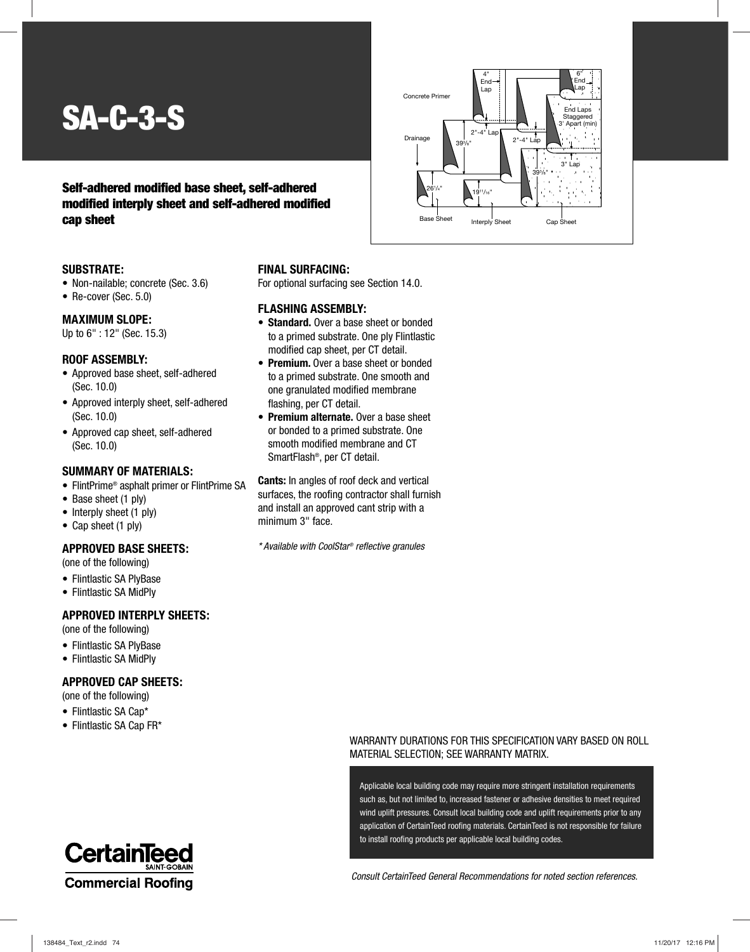# **SA-C-3-S**

#### **Self-adhered modified base sheet, self-adhered modified interply sheet and self-adhered modified cap sheet**



#### **SUBSTRATE:**

- Non-nailable; concrete (Sec. 3.6)
- Re-cover (Sec. 5.0)

#### **MAXIMUM SLOPE:**

Up to 6" : 12" (Sec. 15.3)

#### **ROOF ASSEMBLY:**

- Approved base sheet, self-adhered (Sec. 10.0)
- Approved interply sheet, self-adhered (Sec. 10.0)
- Approved cap sheet, self-adhered (Sec. 10.0)

#### **SUMMARY OF MATERIALS:**

- FlintPrime® asphalt primer or FlintPrime SA
- Base sheet (1 ply)
- Interply sheet (1 ply)
- Cap sheet (1 ply)

#### **APPROVED BASE SHEETS:**

(one of the following)

- Flintlastic SA PlyBase
- Flintlastic SA MidPly

#### **APPROVED INTERPLY SHEETS:**

(one of the following)

- Flintlastic SA PlyBase
- Flintlastic SA MidPly

#### **APPROVED CAP SHEETS:**

- (one of the following)
- Flintlastic SA Cap\*
- Flintlastic SA Cap FR\*



#### **FINAL SURFACING:**

For optional surfacing see Section 14.0.

#### **FLASHING ASSEMBLY:**

- **Standard.** Over a base sheet or bonded to a primed substrate. One ply Flintlastic modified cap sheet, per CT detail.
- **Premium.** Over a base sheet or bonded to a primed substrate. One smooth and one granulated modified membrane flashing, per CT detail.
- **Premium alternate.** Over a base sheet or bonded to a primed substrate. One smooth modified membrane and CT SmartFlash®, per CT detail.

**Cants:** In angles of roof deck and vertical surfaces, the roofing contractor shall furnish and install an approved cant strip with a minimum 3" face.

\* Available with CoolStar® reflective granules

#### WARRANTY DURATIONS FOR THIS SPECIFICATION VARY BASED ON ROLL MATERIAL SELECTION; SEE WARRANTY MATRIX.

Applicable local building code may require more stringent installation requirements such as, but not limited to, increased fastener or adhesive densities to meet required wind uplift pressures. Consult local building code and uplift requirements prior to any application of CertainTeed roofing materials. CertainTeed is not responsible for failure to install roofing products per applicable local building codes.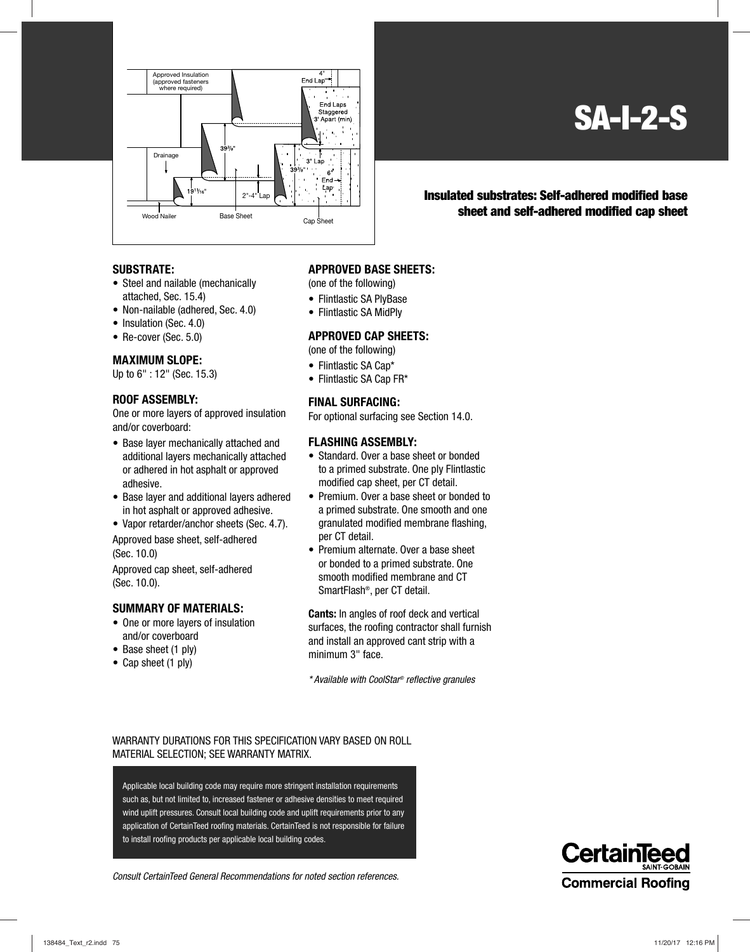

**SA-I-2-S**

**Insulated substrates: Self-adhered modified base sheet and self-adhered modified cap sheet**

#### **SUBSTRATE:**

- Steel and nailable (mechanically attached, Sec. 15.4)
- Non-nailable (adhered, Sec. 4.0)
- Insulation (Sec. 4.0)
- Re-cover (Sec. 5.0)

#### **MAXIMUM SLOPE:**

Up to 6" : 12" (Sec. 15.3)

#### **ROOF ASSEMBLY:**

One or more layers of approved insulation and/or coverboard:

- Base layer mechanically attached and additional layers mechanically attached or adhered in hot asphalt or approved adhesive.
- Base layer and additional layers adhered in hot asphalt or approved adhesive.
- Vapor retarder/anchor sheets (Sec. 4.7).

Approved base sheet, self-adhered (Sec. 10.0)

Approved cap sheet, self-adhered (Sec. 10.0).

#### **SUMMARY OF MATERIALS:**

- One or more layers of insulation and/or coverboard
- Base sheet (1 ply)
- Cap sheet (1 ply)

#### **APPROVED BASE SHEETS:**

(one of the following)

- Flintlastic SA PlyBase
- Flintlastic SA MidPly

#### **APPROVED CAP SHEETS:**

(one of the following)

- Flintlastic SA Cap\*
- Flintlastic SA Cap FR\*

#### **FINAL SURFACING:**

For optional surfacing see Section 14.0.

#### **FLASHING ASSEMBLY:**

- Standard. Over a base sheet or bonded to a primed substrate. One ply Flintlastic modified cap sheet, per CT detail.
- Premium. Over a base sheet or bonded to a primed substrate. One smooth and one granulated modified membrane flashing, per CT detail.
- Premium alternate. Over a base sheet or bonded to a primed substrate. One smooth modified membrane and CT SmartFlash®, per CT detail.

**Cants:** In angles of roof deck and vertical surfaces, the roofing contractor shall furnish and install an approved cant strip with a minimum 3" face.

\* Available with CoolStar® reflective granules

#### WARRANTY DURATIONS FOR THIS SPECIFICATION VARY BASED ON ROLL MATERIAL SELECTION; SEE WARRANTY MATRIX.

Applicable local building code may require more stringent installation requirements such as, but not limited to, increased fastener or adhesive densities to meet required wind uplift pressures. Consult local building code and uplift requirements prior to any application of CertainTeed roofing materials. CertainTeed is not responsible for failure to install roofing products per applicable local building codes.

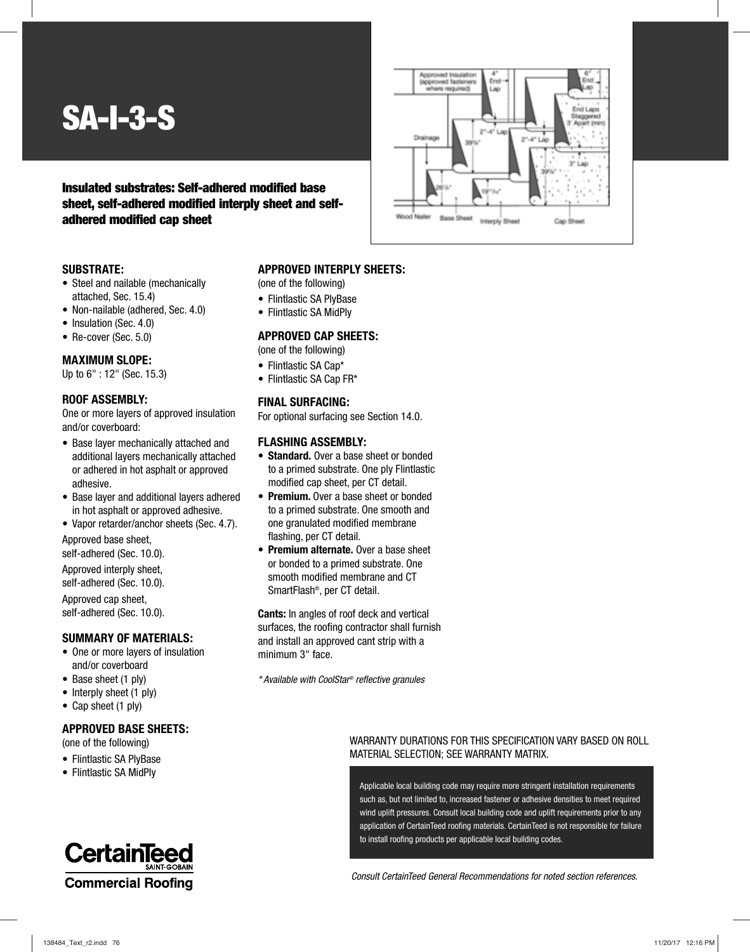## **SA-I-3-S**

#### **Insulated substrates: Self-adhered modified base sheet, self-adhered modified interply sheet and selfadhered modified cap sheet**

#### **SUBSTRATE:**

- Steel and nailable (mechanically attached, Sec. 15.4)
- Non-nailable (adhered, Sec. 4.0)
- Insulation (Sec. 4.0)
- Re-cover (Sec. 5.0)

#### **MAXIMUM SLOPE:**

Up to 6" : 12" (Sec. 15.3)

#### **ROOF ASSEMBLY:**

One or more layers of approved insulation and/or coverboard:

- Base layer mechanically attached and additional layers mechanically attached or adhered in hot asphalt or approved adhesive.
- Base layer and additional layers adhered in hot asphalt or approved adhesive.
- Vapor retarder/anchor sheets (Sec. 4.7).

Approved base sheet,

self-adhered (Sec. 10.0).

Approved interply sheet, self-adhered (Sec. 10.0).

Approved cap sheet, self-adhered (Sec. 10.0).

#### **SUMMARY OF MATERIALS:**

- One or more layers of insulation and/or coverboard
- Base sheet (1 ply)
- Interply sheet (1 ply)
- Cap sheet (1 ply)

#### **APPROVED BASE SHEETS:**

(one of the following)

- Flintlastic SA PlyBase
- Flintlastic SA MidPly



#### **APPROVED INTERPLY SHEETS:**

(one of the following)

- Flintlastic SA PlyBase
- Flintlastic SA MidPly

#### **APPROVED CAP SHEETS:**

(one of the following)

- Flintlastic SA Cap\*
- Flintlastic SA Cap FR\*

#### **FINAL SURFACING:**

For optional surfacing see Section 14.0.

#### **FLASHING ASSEMBLY:**

- **Standard.** Over a base sheet or bonded to a primed substrate. One ply Flintlastic modified cap sheet, per CT detail.
- **Premium.** Over a base sheet or bonded to a primed substrate. One smooth and one granulated modified membrane flashing, per CT detail.
- **Premium alternate.** Over a base sheet or bonded to a primed substrate. One smooth modified membrane and CT SmartFlash®, per CT detail.

**Cants:** In angles of roof deck and vertical surfaces, the roofing contractor shall furnish and install an approved cant strip with a minimum 3" face.

\* Available with CoolStar® reflective granules

#### WARRANTY DURATIONS FOR THIS SPECIFICATION VARY BASED ON ROLL MATERIAL SELECTION; SEE WARRANTY MATRIX.

Applicable local building code may require more stringent installation requirements such as, but not limited to, increased fastener or adhesive densities to meet required wind uplift pressures. Consult local building code and uplift requirements prior to any application of CertainTeed roofing materials. CertainTeed is not responsible for failure to install roofing products per applicable local building codes.

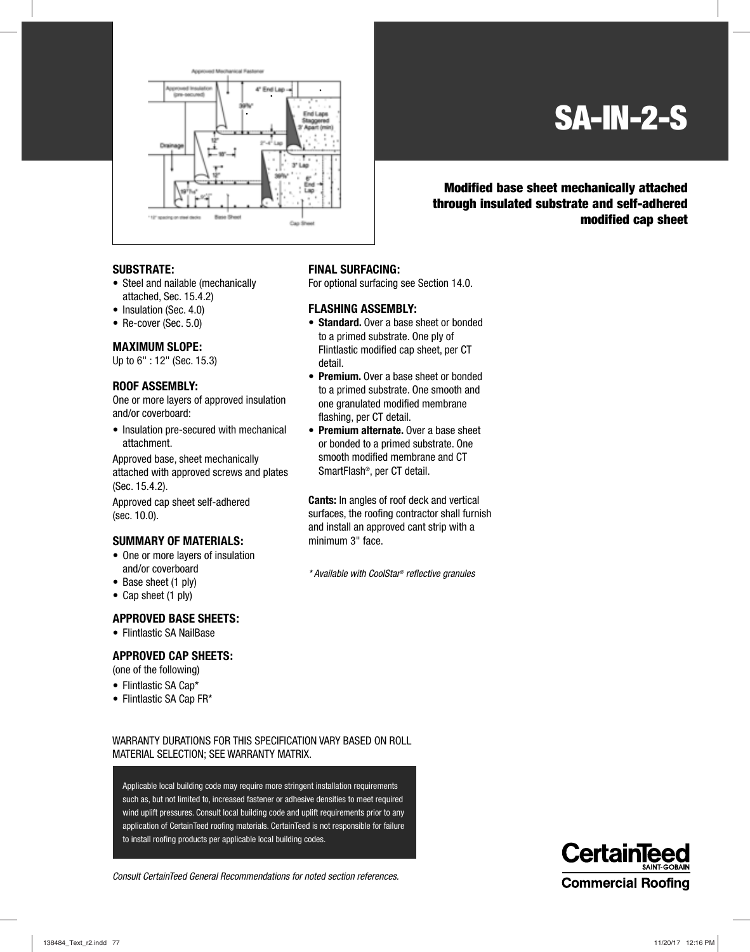

### **SA-IN-2-S**

#### **Modified base sheet mechanically attached through insulated substrate and self-adhered modified cap sheet**

#### **SUBSTRATE:**

- Steel and nailable (mechanically attached, Sec. 15.4.2)
- Insulation (Sec. 4.0)
- Re-cover (Sec. 5.0)

#### **MAXIMUM SLOPE:**

Up to 6" : 12" (Sec. 15.3)

#### **ROOF ASSEMBLY:**

One or more layers of approved insulation and/or coverboard:

• Insulation pre-secured with mechanical attachment.

Approved base, sheet mechanically attached with approved screws and plates (Sec. 15.4.2).

Approved cap sheet self-adhered (sec. 10.0).

#### **SUMMARY OF MATERIALS:**

- One or more layers of insulation and/or coverboard
- Base sheet (1 ply)
- Cap sheet (1 ply)

#### **APPROVED BASE SHEETS:**

• Flintlastic SA NailBase

#### **APPROVED CAP SHEETS:**

(one of the following)

- Flintlastic SA Cap\*
- Flintlastic SA Cap FR\*

#### **FINAL SURFACING:**

For optional surfacing see Section 14.0.

#### **FLASHING ASSEMBLY:**

- **Standard.** Over a base sheet or bonded to a primed substrate. One ply of Flintlastic modified cap sheet, per CT detail.
- **Premium.** Over a base sheet or bonded to a primed substrate. One smooth and one granulated modified membrane flashing, per CT detail.
- **Premium alternate.** Over a base sheet or bonded to a primed substrate. One smooth modified membrane and CT SmartFlash®, per CT detail.

**Cants:** In angles of roof deck and vertical surfaces, the roofing contractor shall furnish and install an approved cant strip with a minimum 3" face.

\* Available with CoolStar® reflective granules

WARRANTY DURATIONS FOR THIS SPECIFICATION VARY BASED ON ROLL MATERIAL SELECTION; SEE WARRANTY MATRIX.

Applicable local building code may require more stringent installation requirements such as, but not limited to, increased fastener or adhesive densities to meet required wind uplift pressures. Consult local building code and uplift requirements prior to any application of CertainTeed roofing materials. CertainTeed is not responsible for failure to install roofing products per applicable local building codes.

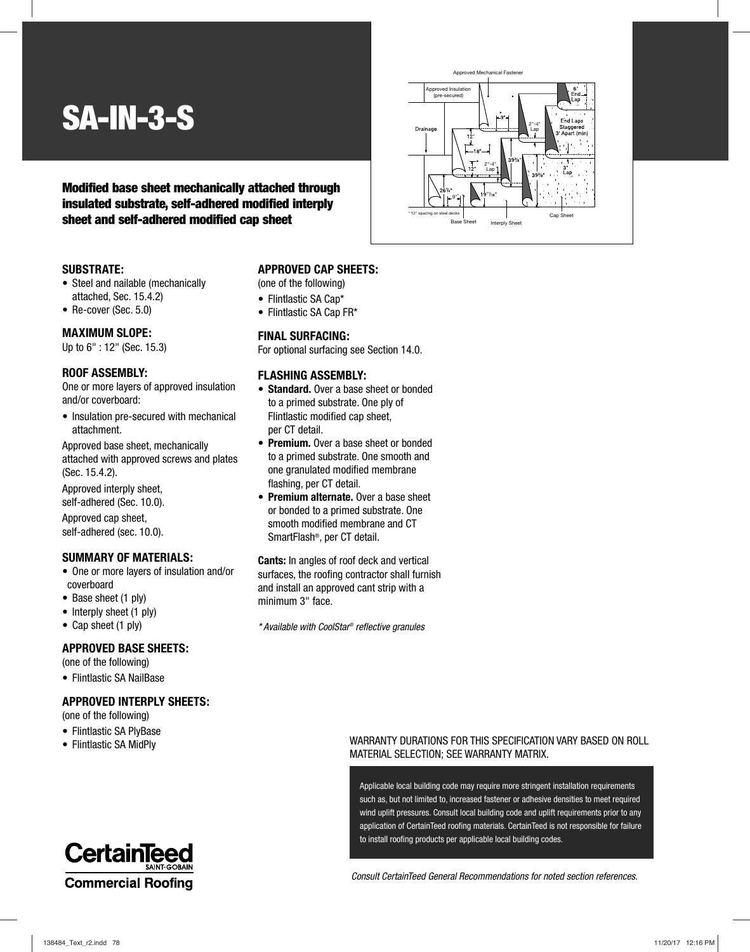## **SA-IN-3-S**

#### **Modified base sheet mechanically attached through insulated substrate, self-adhered modified interply sheet and self-adhered modified cap sheet**

#### **SUBSTRATE:**

- Steel and nailable (mechanically attached, Sec. 15.4.2)
- Re-cover (Sec. 5.0)

#### **MAXIMUM SLOPE:**

Up to 6" : 12" (Sec. 15.3)

#### **ROOF ASSEMBLY:**

One or more layers of approved insulation and/or coverboard:

• Insulation pre-secured with mechanical attachment.

Approved base sheet, mechanically attached with approved screws and plates (Sec. 15.4.2).

Approved interply sheet, self-adhered (Sec. 10.0).

Approved cap sheet, self-adhered (sec. 10.0).

#### **SUMMARY OF MATERIALS:**

- One or more layers of insulation and/or coverboard
- Base sheet (1 ply)
- Interply sheet (1 ply)
- Cap sheet (1 ply)

#### **APPROVED BASE SHEETS:**

(one of the following)

• Flintlastic SA NailBase

#### **APPROVED INTERPLY SHEETS:**

(one of the following)

- Flintlastic SA PlyBase
- Flintlastic SA MidPly

### **CertainTeed Commercial Roofing**



(one of the following)

- Flintlastic SA Cap\*
- Flintlastic SA Cap FR\*

#### **FINAL SURFACING:**

For optional surfacing see Section 14.0.

#### **FLASHING ASSEMBLY:**

- **Standard.** Over a base sheet or bonded to a primed substrate. One ply of Flintlastic modified cap sheet, per CT detail.
- **Premium.** Over a base sheet or bonded to a primed substrate. One smooth and one granulated modified membrane flashing, per CT detail.
- **Premium alternate.** Over a base sheet or bonded to a primed substrate. One smooth modified membrane and CT SmartFlash®, per CT detail.

**Cants:** In angles of roof deck and vertical surfaces, the roofing contractor shall furnish and install an approved cant strip with a minimum 3" face.

\* Available with CoolStar® reflective granules



#### WARRANTY DURATIONS FOR THIS SPECIFICATION VARY BASED ON ROLL MATERIAL SELECTION; SEE WARRANTY MATRIX.

Applicable local building code may require more stringent installation requirements such as, but not limited to, increased fastener or adhesive densities to meet required wind uplift pressures. Consult local building code and uplift requirements prior to any application of CertainTeed roofing materials. CertainTeed is not responsible for failure to install roofing products per applicable local building codes.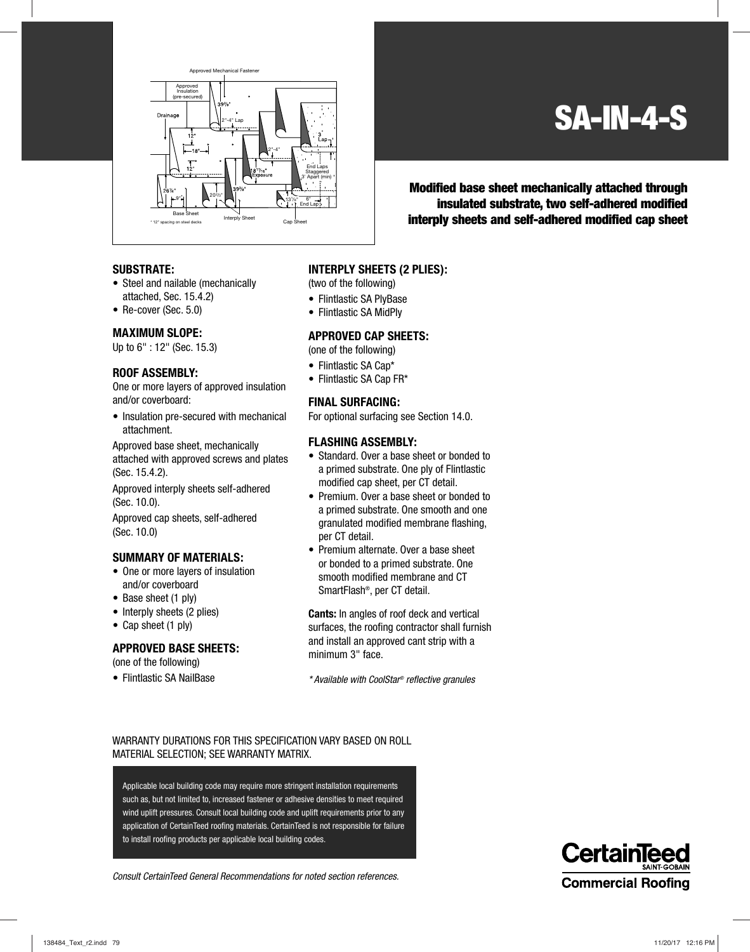

### **SA-IN-4-S**

202/3" **Modified base sheet mechanically attached through insulated substrate, two self-adhered modified interply sheets and self-adhered modified cap sheet**

#### **SUBSTRATE:**

- Steel and nailable (mechanically attached, Sec. 15.4.2)
- Re-cover (Sec. 5.0)

#### **MAXIMUM SLOPE:**

Up to 6" : 12" (Sec. 15.3)

#### **ROOF ASSEMBLY:**

One or more layers of approved insulation and/or coverboard:

• Insulation pre-secured with mechanical attachment.

Approved base sheet, mechanically attached with approved screws and plates (Sec. 15.4.2).

Approved interply sheets self-adhered (Sec. 10.0).

Approved cap sheets, self-adhered (Sec. 10.0)

#### **SUMMARY OF MATERIALS:**

- One or more lavers of insulation and/or coverboard
- Base sheet (1 ply)
- Interply sheets (2 plies)
- Cap sheet (1 ply)

#### **APPROVED BASE SHEETS:**

(one of the following)

• Flintlastic SA NailBase

#### **INTERPLY SHEETS (2 PLIES):**

(two of the following)

- Flintlastic SA PlyBase
- Flintlastic SA MidPly

#### **APPROVED CAP SHEETS:**

(one of the following)

- Flintlastic SA Cap\*
- Flintlastic SA Cap FR\*

#### **FINAL SURFACING:**

For optional surfacing see Section 14.0.

#### **FLASHING ASSEMBLY:**

- Standard. Over a base sheet or bonded to a primed substrate. One ply of Flintlastic modified cap sheet, per CT detail.
- Premium. Over a base sheet or bonded to a primed substrate. One smooth and one granulated modified membrane flashing, per CT detail.
- Premium alternate. Over a base sheet or bonded to a primed substrate. One smooth modified membrane and CT SmartFlash®, per CT detail.

**Cants:** In angles of roof deck and vertical surfaces, the roofing contractor shall furnish and install an approved cant strip with a minimum 3" face.

\* Available with CoolStar® reflective granules

#### WARRANTY DURATIONS FOR THIS SPECIFICATION VARY BASED ON ROLL MATERIAL SELECTION; SEE WARRANTY MATRIX.

Applicable local building code may require more stringent installation requirements such as, but not limited to, increased fastener or adhesive densities to meet required wind uplift pressures. Consult local building code and uplift requirements prior to any application of CertainTeed roofing materials. CertainTeed is not responsible for failure to install roofing products per applicable local building codes.

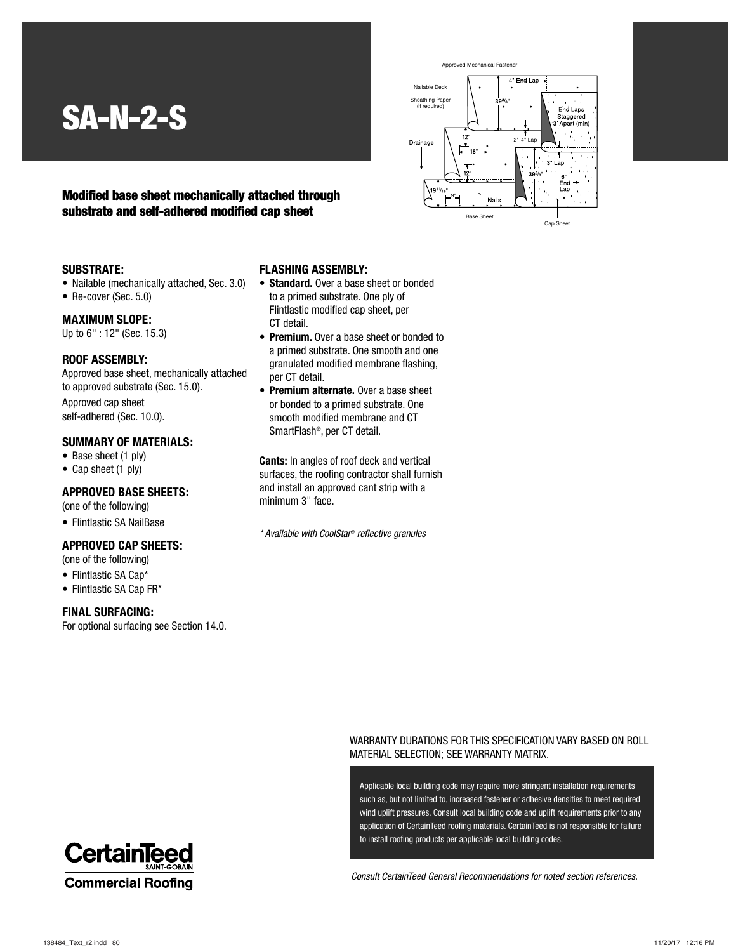### **SA-N-2-S**

#### **Modified base sheet mechanically attached through substrate and self-adhered modified cap sheet**



#### **SUBSTRATE:**

- Nailable (mechanically attached, Sec. 3.0)
- Re-cover (Sec. 5.0)

#### **MAXIMUM SLOPE:**

Up to 6" : 12" (Sec. 15.3)

#### **ROOF ASSEMBLY:**

Approved base sheet, mechanically attached to approved substrate (Sec. 15.0).

Approved cap sheet self-adhered (Sec. 10.0).

#### **SUMMARY OF MATERIALS:**

- Base sheet (1 ply)
- Cap sheet (1 ply)

#### **APPROVED BASE SHEETS:**

(one of the following)

• Flintlastic SA NailBase

#### **APPROVED CAP SHEETS:**

- (one of the following)
- Flintlastic SA Cap\*
- Flintlastic SA Cap FR\*

#### **FINAL SURFACING:**

For optional surfacing see Section 14.0.

#### **FLASHING ASSEMBLY:**

- **Standard.** Over a base sheet or bonded to a primed substrate. One ply of Flintlastic modified cap sheet, per CT detail.
- **Premium.** Over a base sheet or bonded to a primed substrate. One smooth and one granulated modified membrane flashing, per CT detail.
- **Premium alternate.** Over a base sheet or bonded to a primed substrate. One smooth modified membrane and CT SmartFlash®, per CT detail.

**Cants:** In angles of roof deck and vertical surfaces, the roofing contractor shall furnish and install an approved cant strip with a minimum 3" face.

\* Available with CoolStar® reflective granules

#### WARRANTY DURATIONS FOR THIS SPECIFICATION VARY BASED ON ROLL MATERIAL SELECTION; SEE WARRANTY MATRIX.

Applicable local building code may require more stringent installation requirements such as, but not limited to, increased fastener or adhesive densities to meet required wind uplift pressures. Consult local building code and uplift requirements prior to any application of CertainTeed roofing materials. CertainTeed is not responsible for failure to install roofing products per applicable local building codes.

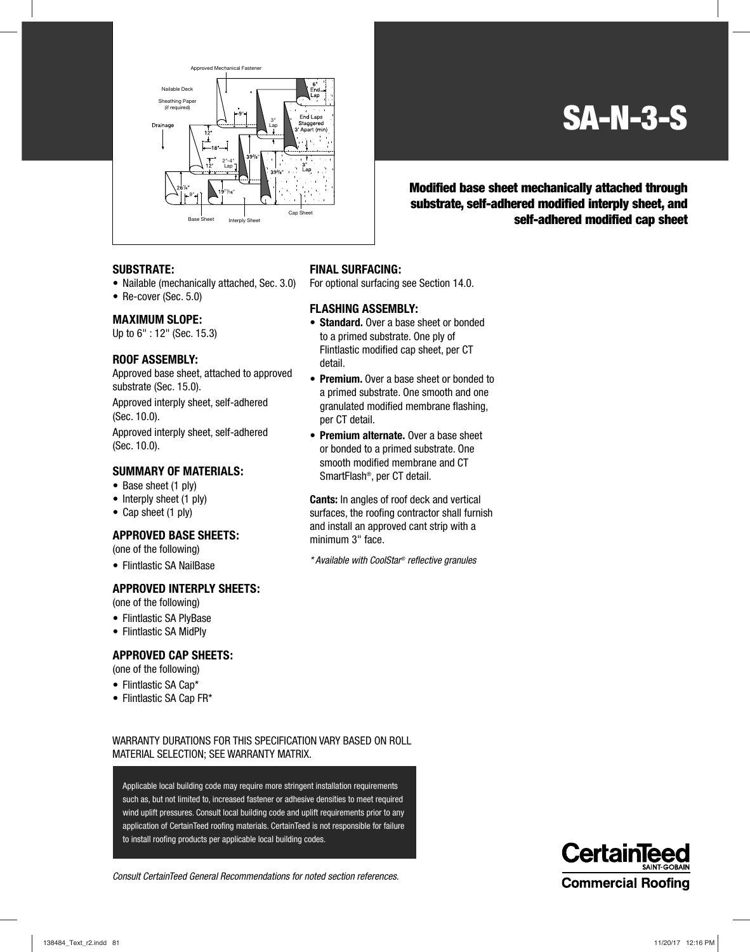

### **SA-N-3-S**

**Modified base sheet mechanically attached through substrate, self-adhered modified interply sheet, and self-adhered modified cap sheet**

#### **SUBSTRATE:**

- Nailable (mechanically attached, Sec. 3.0)
- Re-cover (Sec. 5.0)

#### **MAXIMUM SLOPE:**

Up to 6" : 12" (Sec. 15.3)

#### **ROOF ASSEMBLY:**

Approved base sheet, attached to approved substrate (Sec. 15.0).

Approved interply sheet, self-adhered (Sec. 10.0).

Approved interply sheet, self-adhered (Sec. 10.0).

#### **SUMMARY OF MATERIALS:**

- Base sheet (1 ply)
- Interply sheet (1 ply)
- Cap sheet (1 ply)

#### **APPROVED BASE SHEETS:**

(one of the following)

• Flintlastic SA NailBase

#### **APPROVED INTERPLY SHEETS:**

(one of the following)

- Flintlastic SA PlyBase
- Flintlastic SA MidPly

#### **APPROVED CAP SHEETS:**

(one of the following)

- Flintlastic SA Cap\*
- Flintlastic SA Cap FR\*

#### **FINAL SURFACING:**

For optional surfacing see Section 14.0.

#### **FLASHING ASSEMBLY:**

- **Standard.** Over a base sheet or bonded to a primed substrate. One ply of Flintlastic modified cap sheet, per CT detail.
- **Premium.** Over a base sheet or bonded to a primed substrate. One smooth and one granulated modified membrane flashing, per CT detail.
- **Premium alternate.** Over a base sheet or bonded to a primed substrate. One smooth modified membrane and CT SmartFlash®, per CT detail.

**Cants:** In angles of roof deck and vertical surfaces, the roofing contractor shall furnish and install an approved cant strip with a minimum 3" face.

\* Available with CoolStar® reflective granules

WARRANTY DURATIONS FOR THIS SPECIFICATION VARY BASED ON ROLL MATERIAL SELECTION; SEE WARRANTY MATRIX.

Applicable local building code may require more stringent installation requirements such as, but not limited to, increased fastener or adhesive densities to meet required wind uplift pressures. Consult local building code and uplift requirements prior to any application of CertainTeed roofing materials. CertainTeed is not responsible for failure to install roofing products per applicable local building codes.